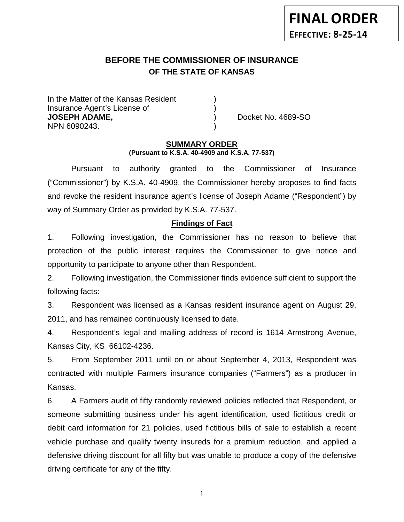# **BEFORE THE COMMISSIONER OF INSURANCE OF THE STATE OF KANSAS**

In the Matter of the Kansas Resident Insurance Agent's License of ) **JOSEPH ADAME,** (a) (b) Docket No. 4689-SO NPN 6090243. )

### **SUMMARY ORDER (Pursuant to K.S.A. 40-4909 and K.S.A. 77-537)**

Pursuant to authority granted to the Commissioner of Insurance ("Commissioner") by K.S.A. 40-4909, the Commissioner hereby proposes to find facts and revoke the resident insurance agent's license of Joseph Adame ("Respondent") by way of Summary Order as provided by K.S.A. 77-537.

# **Findings of Fact**

1. Following investigation, the Commissioner has no reason to believe that protection of the public interest requires the Commissioner to give notice and opportunity to participate to anyone other than Respondent.

2. Following investigation, the Commissioner finds evidence sufficient to support the following facts:

3. Respondent was licensed as a Kansas resident insurance agent on August 29, 2011, and has remained continuously licensed to date.

4. Respondent's legal and mailing address of record is 1614 Armstrong Avenue, Kansas City, KS 66102-4236.

5. From September 2011 until on or about September 4, 2013, Respondent was contracted with multiple Farmers insurance companies ("Farmers") as a producer in Kansas.

6. A Farmers audit of fifty randomly reviewed policies reflected that Respondent, or someone submitting business under his agent identification, used fictitious credit or debit card information for 21 policies, used fictitious bills of sale to establish a recent vehicle purchase and qualify twenty insureds for a premium reduction, and applied a defensive driving discount for all fifty but was unable to produce a copy of the defensive driving certificate for any of the fifty.

1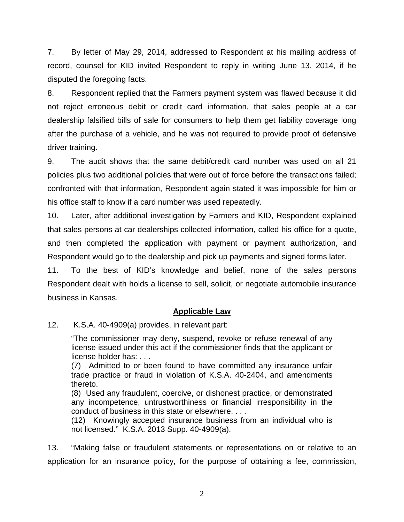7. By letter of May 29, 2014, addressed to Respondent at his mailing address of record, counsel for KID invited Respondent to reply in writing June 13, 2014, if he disputed the foregoing facts.

8. Respondent replied that the Farmers payment system was flawed because it did not reject erroneous debit or credit card information, that sales people at a car dealership falsified bills of sale for consumers to help them get liability coverage long after the purchase of a vehicle, and he was not required to provide proof of defensive driver training.

9. The audit shows that the same debit/credit card number was used on all 21 policies plus two additional policies that were out of force before the transactions failed; confronted with that information, Respondent again stated it was impossible for him or his office staff to know if a card number was used repeatedly.

10. Later, after additional investigation by Farmers and KID, Respondent explained that sales persons at car dealerships collected information, called his office for a quote, and then completed the application with payment or payment authorization, and Respondent would go to the dealership and pick up payments and signed forms later.

11. To the best of KID's knowledge and belief, none of the sales persons Respondent dealt with holds a license to sell, solicit, or negotiate automobile insurance business in Kansas.

# **Applicable Law**

12. K.S.A. 40-4909(a) provides, in relevant part:

"The commissioner may deny, suspend, revoke or refuse renewal of any license issued under this act if the commissioner finds that the applicant or license holder has: . . .

(7) Admitted to or been found to have committed any insurance unfair trade practice or fraud in violation of K.S.A. 40-2404, and amendments thereto.

(8) Used any fraudulent, coercive, or dishonest practice, or demonstrated any incompetence, untrustworthiness or financial irresponsibility in the conduct of business in this state or elsewhere. . . .

(12) Knowingly accepted insurance business from an individual who is not licensed." K.S.A. 2013 Supp. 40-4909(a).

13. "Making false or fraudulent statements or representations on or relative to an application for an insurance policy, for the purpose of obtaining a fee, commission,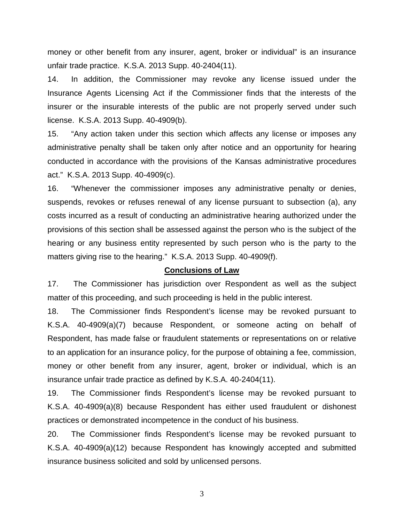money or other benefit from any insurer, agent, broker or individual" is an insurance unfair trade practice. K.S.A. 2013 Supp. 40-2404(11).

14. In addition, the Commissioner may revoke any license issued under the Insurance Agents Licensing Act if the Commissioner finds that the interests of the insurer or the insurable interests of the public are not properly served under such license. K.S.A. 2013 Supp. 40-4909(b).

15. "Any action taken under this section which affects any license or imposes any administrative penalty shall be taken only after notice and an opportunity for hearing conducted in accordance with the provisions of the Kansas administrative procedures act." K.S.A. 2013 Supp. 40-4909(c).

16. "Whenever the commissioner imposes any administrative penalty or denies, suspends, revokes or refuses renewal of any license pursuant to subsection (a), any costs incurred as a result of conducting an administrative hearing authorized under the provisions of this section shall be assessed against the person who is the subject of the hearing or any business entity represented by such person who is the party to the matters giving rise to the hearing." K.S.A. 2013 Supp. 40-4909(f).

#### **Conclusions of Law**

17. The Commissioner has jurisdiction over Respondent as well as the subject matter of this proceeding, and such proceeding is held in the public interest.

18. The Commissioner finds Respondent's license may be revoked pursuant to K.S.A. 40-4909(a)(7) because Respondent, or someone acting on behalf of Respondent, has made false or fraudulent statements or representations on or relative to an application for an insurance policy, for the purpose of obtaining a fee, commission, money or other benefit from any insurer, agent, broker or individual, which is an insurance unfair trade practice as defined by K.S.A. 40-2404(11).

19. The Commissioner finds Respondent's license may be revoked pursuant to K.S.A. 40-4909(a)(8) because Respondent has either used fraudulent or dishonest practices or demonstrated incompetence in the conduct of his business.

20. The Commissioner finds Respondent's license may be revoked pursuant to K.S.A. 40-4909(a)(12) because Respondent has knowingly accepted and submitted insurance business solicited and sold by unlicensed persons.

3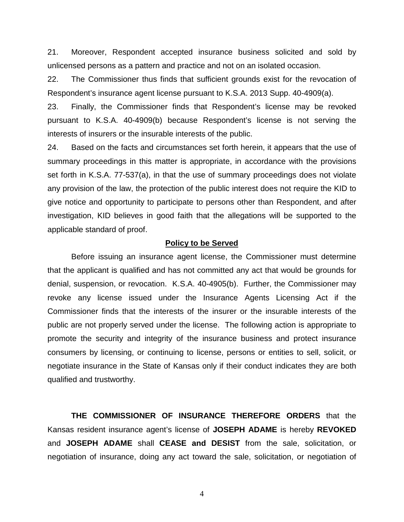21. Moreover, Respondent accepted insurance business solicited and sold by unlicensed persons as a pattern and practice and not on an isolated occasion.

22. The Commissioner thus finds that sufficient grounds exist for the revocation of Respondent's insurance agent license pursuant to K.S.A. 2013 Supp. 40-4909(a).

23. Finally, the Commissioner finds that Respondent's license may be revoked pursuant to K.S.A. 40-4909(b) because Respondent's license is not serving the interests of insurers or the insurable interests of the public.

24. Based on the facts and circumstances set forth herein, it appears that the use of summary proceedings in this matter is appropriate, in accordance with the provisions set forth in K.S.A. 77-537(a), in that the use of summary proceedings does not violate any provision of the law, the protection of the public interest does not require the KID to give notice and opportunity to participate to persons other than Respondent, and after investigation, KID believes in good faith that the allegations will be supported to the applicable standard of proof.

#### **Policy to be Served**

Before issuing an insurance agent license, the Commissioner must determine that the applicant is qualified and has not committed any act that would be grounds for denial, suspension, or revocation. K.S.A. 40-4905(b). Further, the Commissioner may revoke any license issued under the Insurance Agents Licensing Act if the Commissioner finds that the interests of the insurer or the insurable interests of the public are not properly served under the license. The following action is appropriate to promote the security and integrity of the insurance business and protect insurance consumers by licensing, or continuing to license, persons or entities to sell, solicit, or negotiate insurance in the State of Kansas only if their conduct indicates they are both qualified and trustworthy.

**THE COMMISSIONER OF INSURANCE THEREFORE ORDERS** that the Kansas resident insurance agent's license of **JOSEPH ADAME** is hereby **REVOKED** and **JOSEPH ADAME** shall **CEASE and DESIST** from the sale, solicitation, or negotiation of insurance, doing any act toward the sale, solicitation, or negotiation of

4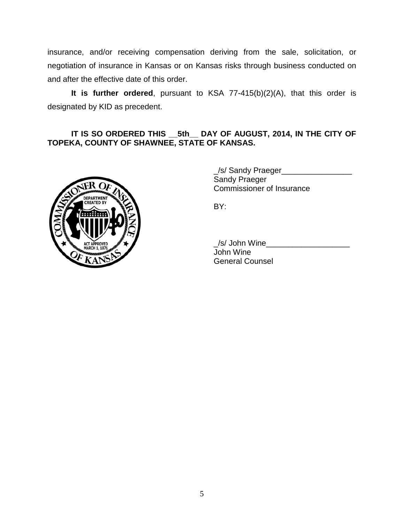insurance, and/or receiving compensation deriving from the sale, solicitation, or negotiation of insurance in Kansas or on Kansas risks through business conducted on and after the effective date of this order.

**It is further ordered**, pursuant to KSA 77-415(b)(2)(A), that this order is designated by KID as precedent.

# **IT IS SO ORDERED THIS \_\_5th\_\_ DAY OF AUGUST, 2014, IN THE CITY OF TOPEKA, COUNTY OF SHAWNEE, STATE OF KANSAS.**



\_/s/ Sandy Praeger\_\_\_\_\_\_\_\_\_\_\_\_\_\_\_\_ Sandy Praeger Commissioner of Insurance

BY:

/s/ John Wine John Wine General Counsel